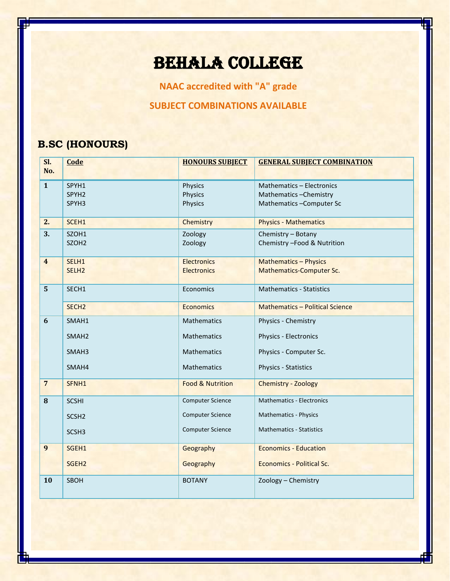# BEHALA COLLEGE

**NAAC accredited with "A" grade**

**SUBJECT COMBINATIONS AVAILABLE**

### **B.SC (HONOURS)**

I

| SI.<br>No.              | Code              | <b>HONOURS SUBJECT</b>      | <b>GENERAL SUBJECT COMBINATION</b>     |
|-------------------------|-------------------|-----------------------------|----------------------------------------|
|                         |                   |                             |                                        |
| $\mathbf{1}$            | SPYH1             | Physics                     | Mathematics - Electronics              |
|                         | SPYH <sub>2</sub> | Physics                     | Mathematics-Chemistry                  |
|                         | SPYH3             | Physics                     | Mathematics-Computer Sc                |
| 2.                      | SCEH1             | Chemistry                   | <b>Physics - Mathematics</b>           |
| 3.                      | SZOH1             | Zoology                     | Chemistry - Botany                     |
|                         | SZOH <sub>2</sub> | Zoology                     | Chemistry - Food & Nutrition           |
| $\overline{\mathbf{4}}$ | SELH1             | <b>Electronics</b>          | <b>Mathematics - Physics</b>           |
|                         | SELH <sub>2</sub> | <b>Electronics</b>          | <b>Mathematics-Computer Sc.</b>        |
| 5                       | SECH1             | Economics                   | <b>Mathematics - Statistics</b>        |
|                         |                   |                             |                                        |
|                         | SECH <sub>2</sub> | <b>Economics</b>            | <b>Mathematics - Political Science</b> |
| 6                       | SMAH1             | Mathematics                 | Physics - Chemistry                    |
|                         | SMAH <sub>2</sub> | Mathematics                 | Physics - Electronics                  |
|                         | SMAH <sub>3</sub> | <b>Mathematics</b>          | Physics - Computer Sc.                 |
|                         | SMAH4             | Mathematics                 | Physics - Statistics                   |
| $\overline{7}$          | SFNH1             | <b>Food &amp; Nutrition</b> | Chemistry - Zoology                    |
| 8                       | <b>SCSHI</b>      | <b>Computer Science</b>     | <b>Mathematics - Electronics</b>       |
|                         | SCSH <sub>2</sub> | <b>Computer Science</b>     | Mathematics - Physics                  |
|                         | SCSH <sub>3</sub> | <b>Computer Science</b>     | <b>Mathematics - Statistics</b>        |
|                         |                   |                             |                                        |
| 9                       | SGEH1             | Geography                   | <b>Economics - Education</b>           |
|                         | SGEH <sub>2</sub> | Geography                   | Economics - Political Sc.              |
| 10                      | SBOH              | <b>BOTANY</b>               | Zoology - Chemistry                    |
|                         |                   |                             |                                        |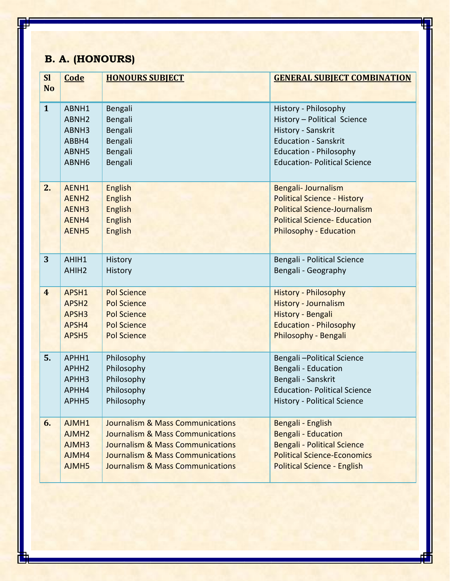## **B. A. (HONOURS)**

| <b>Sl</b>      | Code              | <b>HONOURS SUBJECT</b>                      | <b>GENERAL SUBJECT COMBINATION</b>  |
|----------------|-------------------|---------------------------------------------|-------------------------------------|
| <b>No</b>      |                   |                                             |                                     |
| $\mathbf{1}$   | ABNH1             | Bengali                                     | History - Philosophy                |
|                | ABNH <sub>2</sub> | Bengali                                     | History - Political Science         |
|                | ABNH3             | Bengali                                     | History - Sanskrit                  |
|                | ABBH4             | Bengali                                     | <b>Education - Sanskrit</b>         |
|                | ABNH5             | Bengali                                     | <b>Education - Philosophy</b>       |
|                | ABNH <sub>6</sub> | Bengali                                     | <b>Education- Political Science</b> |
| 2.             | AENH1             | <b>English</b>                              | Bengali- Journalism                 |
|                | AENH <sub>2</sub> | <b>English</b>                              | <b>Political Science - History</b>  |
|                | AENH <sub>3</sub> | <b>English</b>                              | <b>Political Science-Journalism</b> |
|                | AENH4             | <b>English</b>                              | <b>Political Science- Education</b> |
|                | AENH <sub>5</sub> | <b>English</b>                              | <b>Philosophy - Education</b>       |
| 3              | AHIH1             | History                                     | Bengali - Political Science         |
|                | AHIH <sub>2</sub> | History                                     | Bengali - Geography                 |
| $\overline{4}$ | APSH1             | <b>Pol Science</b>                          | <b>History - Philosophy</b>         |
|                | APSH <sub>2</sub> | <b>Pol Science</b>                          | <b>History - Journalism</b>         |
|                | APSH <sub>3</sub> | <b>Pol Science</b>                          | History - Bengali                   |
|                | APSH4             | <b>Pol Science</b>                          | <b>Education - Philosophy</b>       |
|                | APSH5             | <b>Pol Science</b>                          | Philosophy - Bengali                |
| 5.             | APHH1             | Philosophy                                  | Bengali-Political Science           |
|                | APHH <sub>2</sub> | Philosophy                                  | Bengali - Education                 |
|                | APHH3             | Philosophy                                  | Bengali - Sanskrit                  |
|                | APHH4             | Philosophy                                  | <b>Education- Political Science</b> |
|                | APHH <sub>5</sub> | Philosophy                                  | <b>History - Political Science</b>  |
| 6.             | AJMH1             | <b>Journalism &amp; Mass Communications</b> | Bengali - English                   |
|                | AJMH <sub>2</sub> | <b>Journalism &amp; Mass Communications</b> | <b>Bengali - Education</b>          |
|                | AJMH3             | <b>Journalism &amp; Mass Communications</b> | <b>Bengali - Political Science</b>  |
|                | AJMH4             | <b>Journalism &amp; Mass Communications</b> | <b>Political Science-Economics</b>  |
|                | AJMH5             | <b>Journalism &amp; Mass Communications</b> | <b>Political Science - English</b>  |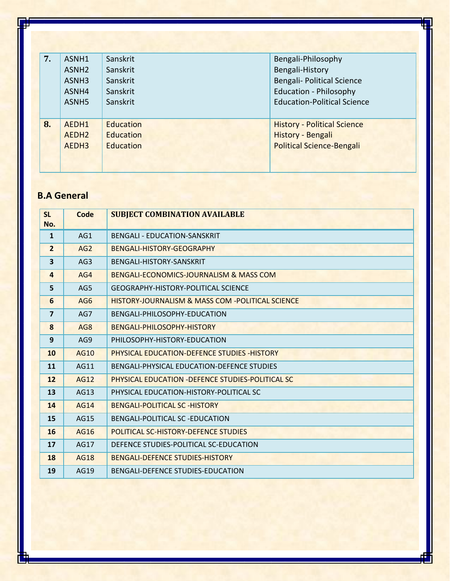| 7. | ASNH1             | Sanskrit         | Bengali-Philosophy                 |
|----|-------------------|------------------|------------------------------------|
|    | ASNH <sub>2</sub> | Sanskrit         | Bengali-History                    |
|    | ASNH <sub>3</sub> | Sanskrit         | Bengali- Political Science         |
|    | ASNH4             | Sanskrit         | <b>Education - Philosophy</b>      |
|    | ASNH <sub>5</sub> | Sanskrit         | <b>Education-Political Science</b> |
|    |                   |                  |                                    |
| 8. | AEDH1             | <b>Education</b> | <b>History - Political Science</b> |
|    | AEDH <sub>2</sub> | Education        | History - Bengali                  |
|    | AEDH <sub>3</sub> | Education        | <b>Political Science-Bengali</b>   |
|    |                   |                  |                                    |
|    |                   |                  |                                    |

#### **B.A General**

I

| <b>SL</b><br>No.        | Code            | <b>SUBJECT COMBINATION AVAILABLE</b>                    |
|-------------------------|-----------------|---------------------------------------------------------|
| $\mathbf{1}$            | AG1             | <b>BENGALI - EDUCATION-SANSKRIT</b>                     |
| $\overline{2}$          | AG2             | BENGALI-HISTORY-GEOGRAPHY                               |
| $\overline{\mathbf{3}}$ | AG <sub>3</sub> | BENGALI-HISTORY-SANSKRIT                                |
| $\overline{4}$          | AG4             | <b>BENGALI-ECONOMICS-JOURNALISM &amp; MASS COM</b>      |
| 5                       | AG5             | <b>GEOGRAPHY-HISTORY-POLITICAL SCIENCE</b>              |
| 6                       | AG <sub>6</sub> | HISTORY-JOURNALISM & MASS COM -POLITICAL SCIENCE        |
| $\overline{7}$          | AG7             | BENGALI-PHILOSOPHY-EDUCATION                            |
| 8                       | AG <sub>8</sub> | BENGALI-PHILOSOPHY-HISTORY                              |
| 9                       | AG9             | PHILOSOPHY-HISTORY-EDUCATION                            |
| 10                      | <b>AG10</b>     | <b>PHYSICAL EDUCATION-DEFENCE STUDIES -HISTORY</b>      |
| 11                      | AG11            | BENGALI-PHYSICAL EDUCATION-DEFENCE STUDIES              |
| 12                      | AG12            | <b>PHYSICAL EDUCATION -DEFENCE STUDIES-POLITICAL SC</b> |
| 13                      | AG13            | PHYSICAL EDUCATION-HISTORY-POLITICAL SC                 |
| 14                      | <b>AG14</b>     | <b>BENGALI-POLITICAL SC -HISTORY</b>                    |
| 15                      | AG15            | BENGALI-POLITICAL SC -EDUCATION                         |
| 16                      | <b>AG16</b>     | <b>POLITICAL SC-HISTORY-DEFENCE STUDIES</b>             |
| 17                      | AG17            | DEFENCE STUDIES-POLITICAL SC-EDUCATION                  |
| 18                      | <b>AG18</b>     | <b>BENGALI-DEFENCE STUDIES-HISTORY</b>                  |
| 19                      | AG19            | <b>BENGALI-DEFENCE STUDIES-EDUCATION</b>                |